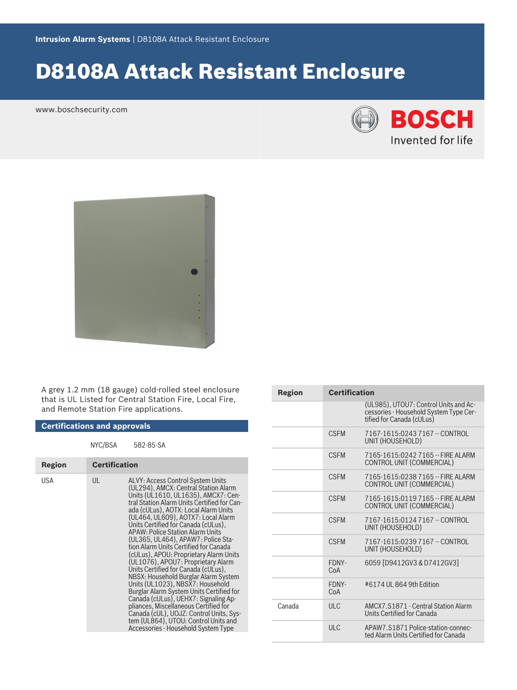# D8108A Attack Resistant Enclosure

www.boschsecurity.com





A grey 1.2 mm (18 gauge) cold-rolled steel enclosure that is UL Listed for Central Station Fire, Local Fire, and Remote Station Fire applications.

| <b>Certifications and approvals</b> |                      |                                                                                                                                                                                                                                                                                                                                                                                                                                                                                                                                                                                                                                                                                                                                                                                                                                                                          |  |  |
|-------------------------------------|----------------------|--------------------------------------------------------------------------------------------------------------------------------------------------------------------------------------------------------------------------------------------------------------------------------------------------------------------------------------------------------------------------------------------------------------------------------------------------------------------------------------------------------------------------------------------------------------------------------------------------------------------------------------------------------------------------------------------------------------------------------------------------------------------------------------------------------------------------------------------------------------------------|--|--|
|                                     | NYC/BSA              | 582-85-SA                                                                                                                                                                                                                                                                                                                                                                                                                                                                                                                                                                                                                                                                                                                                                                                                                                                                |  |  |
| Region                              | <b>Certification</b> |                                                                                                                                                                                                                                                                                                                                                                                                                                                                                                                                                                                                                                                                                                                                                                                                                                                                          |  |  |
| USA                                 | UL                   | ALVY: Access Control System Units<br>(UL294), AMCX: Central Station Alarm<br>Units (UL1610, UL1635), AMCX7: Cen-<br>tral Station Alarm Units Certified for Can-<br>ada (cULus), AOTX: Local Alarm Units<br>(UL464, UL609), AOTX7: Local Alarm<br>Units Certified for Canada (cULus),<br><b>APAW: Police Station Alarm Units</b><br>(UL365, UL464), APAW7: Police Sta-<br>tion Alarm Units Certified for Canada<br>(cULus), APOU: Proprietary Alarm Units<br>(UL1076), APOU7: Proprietary Alarm<br>Units Certified for Canada (cULus),<br>NBSX: Household Burglar Alarm System<br>Units (UL1023), NBSX7: Household<br>Burglar Alarm System Units Certified for<br>Canada (cULus), UEHX7: Signaling Ap-<br>pliances, Miscellaneous Certified for<br>Canada (cUL), UOJZ: Control Units, Sys-<br>tem (UL864), UTOU: Control Units and<br>Accessories - Household System Type |  |  |

| Region | <b>Certification</b> |                                                                                                              |  |
|--------|----------------------|--------------------------------------------------------------------------------------------------------------|--|
|        |                      | (UL985), UTOU7: Control Units and Ac-<br>cessories - Household System Type Cer-<br>tified for Canada (cULus) |  |
|        | <b>CSEM</b>          | 7167-1615:0243 7167 -- CONTROL<br>UNIT (HOUSEHOLD)                                                           |  |
|        | <b>CSEM</b>          | 7165-1615:0242 7165 -- FIRF AI ARM<br>CONTROL UNIT (COMMERCIAL)                                              |  |
|        | <b>CSEM</b>          | 7165-1615:0238 7165 -- FIRF ALARM<br>CONTROL UNIT (COMMERCIAL)                                               |  |
|        | <b>CSEM</b>          | 7165-1615:0119 7165 -- FIRF ALARM<br>CONTROL UNIT (COMMERCIAL)                                               |  |
|        | <b>CSEM</b>          | 7167-1615:0124 7167 -- CONTROL<br>UNIT (HOUSEHOLD)                                                           |  |
|        | <b>CSEM</b>          | 7167-1615:0239 7167 -- CONTROL<br>UNIT (HOUSEHOLD)                                                           |  |
|        | FDNY-<br>CoA         | 6059 [D9412GV3 & D7412GV3]                                                                                   |  |
|        | FDNY-<br>CoA         | #6174 UL 864 9th Edition                                                                                     |  |
| Canada | ULC                  | AMCX7.S1871 - Central Station Alarm<br>Units Certified for Canada                                            |  |
|        | ULC                  | APAW7.S1871 Police-station-connec-<br>ted Alarm Units Certified for Canada                                   |  |
|        |                      |                                                                                                              |  |